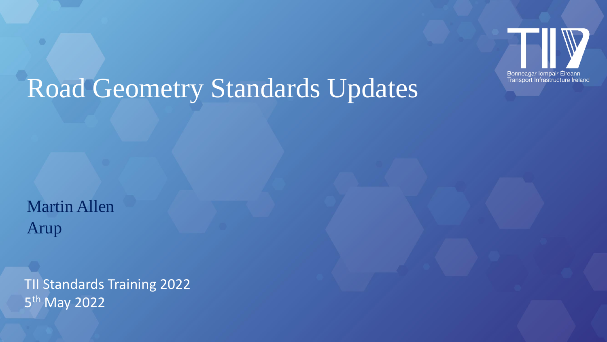

# Road Geometry Standards Updates

Martin Allen Arup

TII Standards Training 2022 5<sup>th</sup> May 2022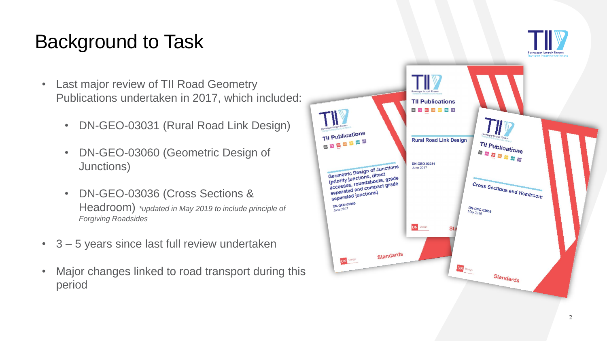# Background to Task

- Last major review of TII Road Geometry Publications undertaken in 2017, which included:
	- DN-GEO-03031 (Rural Road Link Design)
	- DN-GEO-03060 (Geometric Design of Junctions)
	- DN-GEO-03036 (Cross Sections & Headroom) *\*updated in May 2019 to include principle of Forgiving Roadsides*
- 3 5 years since last full review undertaken
- Major changes linked to road transport during this period

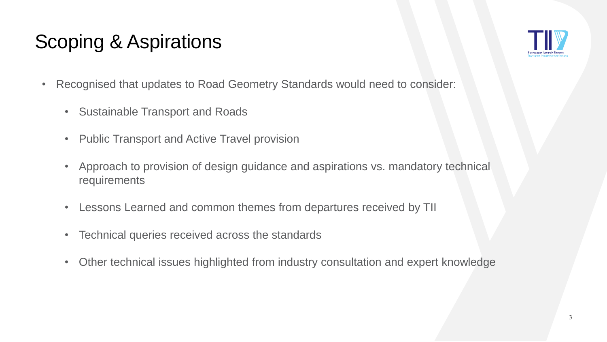# Scoping & Aspirations



- Recognised that updates to Road Geometry Standards would need to consider:
	- Sustainable Transport and Roads
	- Public Transport and Active Travel provision
	- Approach to provision of design guidance and aspirations vs. mandatory technical requirements
	- Lessons Learned and common themes from departures received by TII
	- Technical queries received across the standards
	- Other technical issues highlighted from industry consultation and expert knowledge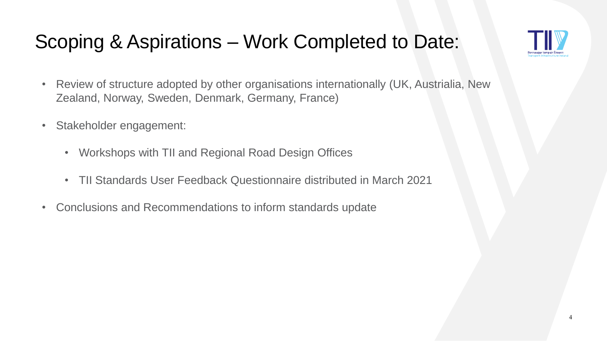# Scoping & Aspirations – Work Completed to Date:



- Review of structure adopted by other organisations internationally (UK, Austrialia, New Zealand, Norway, Sweden, Denmark, Germany, France)
- Stakeholder engagement:
	- Workshops with TII and Regional Road Design Offices
	- TII Standards User Feedback Questionnaire distributed in March 2021
- Conclusions and Recommendations to inform standards update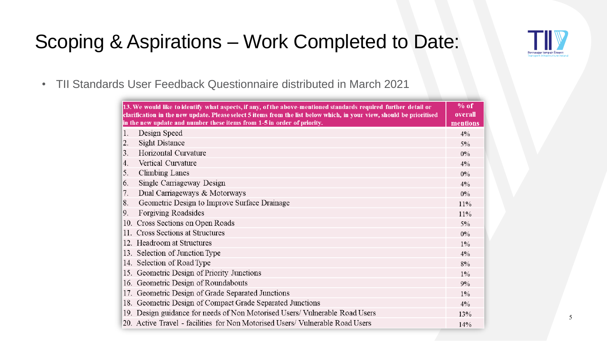

# Scoping & Aspirations – Work Completed to Date:

• TII Standards User Feedback Questionnaire distributed in March 2021

| 13. We would like to identify what aspects, if any, of the above-mentioned standards required further detail or<br>clarification in the new update. Please select 5 items from the list below which, in your view, should be prioritised<br>in the new update and number these items from 1-5 in order of priority. |                                                                               | $%$ of<br>overall<br>mentions |
|---------------------------------------------------------------------------------------------------------------------------------------------------------------------------------------------------------------------------------------------------------------------------------------------------------------------|-------------------------------------------------------------------------------|-------------------------------|
| 1.                                                                                                                                                                                                                                                                                                                  | Design Speed                                                                  | 4%                            |
| 2.                                                                                                                                                                                                                                                                                                                  | <b>Sight Distance</b>                                                         | $5\%$                         |
| 3.                                                                                                                                                                                                                                                                                                                  | Horizontal Curvature                                                          | $0\%$                         |
| 4.                                                                                                                                                                                                                                                                                                                  | Vertical Curvature                                                            | 4%                            |
| 5.                                                                                                                                                                                                                                                                                                                  | Climbing Lanes                                                                | $0\%$                         |
| 6.                                                                                                                                                                                                                                                                                                                  | Single Carriageway Design                                                     | 4%                            |
| 7.                                                                                                                                                                                                                                                                                                                  | Dual Carriageways & Motorways                                                 | 0%                            |
| 8.                                                                                                                                                                                                                                                                                                                  | Geometric Design to Improve Surface Drainage                                  | 11%                           |
| 9.                                                                                                                                                                                                                                                                                                                  | Forgiving Roadsides                                                           | 11%                           |
|                                                                                                                                                                                                                                                                                                                     | 10. Cross Sections on Open Roads                                              | $5\%$                         |
|                                                                                                                                                                                                                                                                                                                     | 11. Cross Sections at Structures                                              | $0\%$                         |
|                                                                                                                                                                                                                                                                                                                     | 12. Headroom at Structures                                                    | $1\%$                         |
|                                                                                                                                                                                                                                                                                                                     | 13. Selection of Junction Type                                                | 4%                            |
|                                                                                                                                                                                                                                                                                                                     | 14. Selection of Road Type                                                    | 8%                            |
|                                                                                                                                                                                                                                                                                                                     | 15. Geometric Design of Priority Junctions                                    | $1\%$                         |
|                                                                                                                                                                                                                                                                                                                     | 16. Geometric Design of Roundabouts                                           | 9%                            |
|                                                                                                                                                                                                                                                                                                                     | 17. Geometric Design of Grade Separated Junctions                             | $1\%$                         |
|                                                                                                                                                                                                                                                                                                                     | 18. Geometric Design of Compact Grade Separated Junctions                     | 4%                            |
|                                                                                                                                                                                                                                                                                                                     | 19. Design guidance for needs of Non Motorised Users/ Vulnerable Road Users   | 13%                           |
|                                                                                                                                                                                                                                                                                                                     | 20. Active Travel - facilities for Non Motorised Users/ Vulnerable Road Users | 14%                           |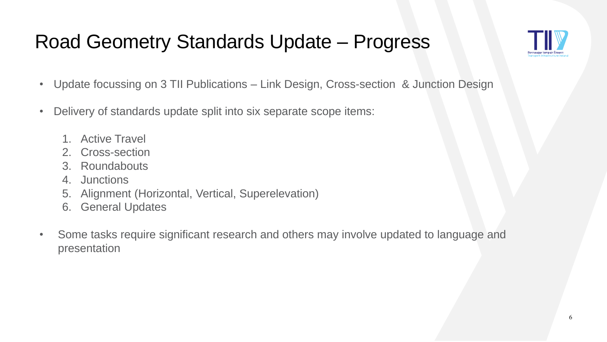# Road Geometry Standards Update – Progress



- Update focussing on 3 TII Publications Link Design, Cross-section & Junction Design
- Delivery of standards update split into six separate scope items:
	- 1. Active Travel
	- 2. Cross-section
	- 3. Roundabouts
	- 4. Junctions
	- 5. Alignment (Horizontal, Vertical, Superelevation)
	- 6. General Updates
- Some tasks require significant research and others may involve updated to language and presentation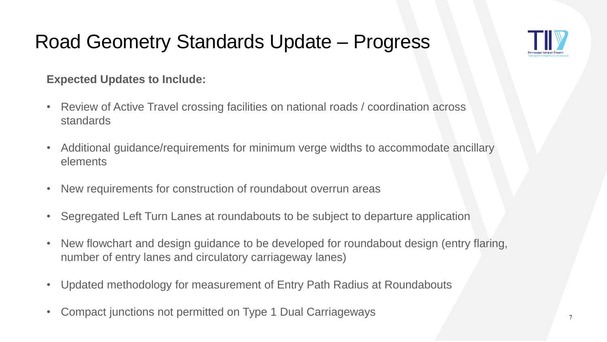# Road Geometry Standards Update – Progress



#### **Expected Updates to Include:**

- Review of Active Travel crossing facilities on national roads / coordination across standards
- Additional guidance/requirements for minimum verge widths to accommodate ancillary elements
- New requirements for construction of roundabout overrun areas
- Segregated Left Turn Lanes at roundabouts to be subject to departure application
- New flowchart and design guidance to be developed for roundabout design (entry flaring, number of entry lanes and circulatory carriageway lanes)
- Updated methodology for measurement of Entry Path Radius at Roundabouts
- Compact junctions not permitted on Type 1 Dual Carriageways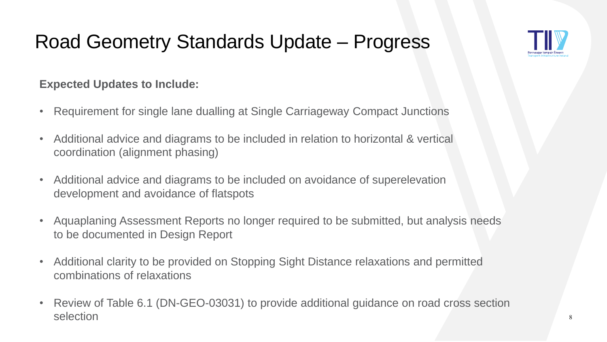# Road Geometry Standards Update – Progress



#### **Expected Updates to Include:**

- Requirement for single lane dualling at Single Carriageway Compact Junctions
- Additional advice and diagrams to be included in relation to horizontal & vertical coordination (alignment phasing)
- Additional advice and diagrams to be included on avoidance of superelevation development and avoidance of flatspots
- Aquaplaning Assessment Reports no longer required to be submitted, but analysis needs to be documented in Design Report
- Additional clarity to be provided on Stopping Sight Distance relaxations and permitted combinations of relaxations
- Review of Table 6.1 (DN-GEO-03031) to provide additional guidance on road cross section selection